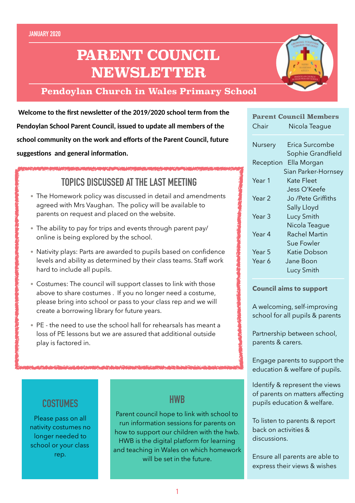# **PARENT COUNCIL NEWSLETTER**

### **Pendoylan Church in Wales Primary School**

**Welcome to the first newsletter of the 2019/2020 school term from the Pendoylan School Parent Council, issued to update all members of the school community on the work and efforts of the Parent Council, future**  suggestions and general information.

# **TOPICS DISCUSSED AT THE LAST MEETING**

- The Homework policy was discussed in detail and amendments agreed with Mrs Vaughan. The policy will be available to parents on request and placed on the website.
- The ability to pay for trips and events through parent pay/ online is being explored by the school.
- Nativity plays: Parts are awarded to pupils based on confidence levels and ability as determined by their class teams. Staff work hard to include all pupils.
- Costumes: The council will support classes to link with those above to share costumes . If you no longer need a costume, please bring into school or pass to your class rep and we will create a borrowing library for future years.
- PE the need to use the school hall for rehearsals has meant a loss of PE lessons but we are assured that additional outside play is factored in.

# **COSTUMES**

Please pass on all nativity costumes no longer needed to school or your class rep.

### **HWB**

Parent council hope to link with school to run information sessions for parents on how to support our children with the hwb. HWB is the digital platform for learning and teaching in Wales on which homework will be set in the future.

| <b>Parent Council Members</b> |                      |
|-------------------------------|----------------------|
| Chair                         | Nicola Teague        |
| Nursery                       | Erica Surcombe       |
|                               | Sophie Grandfield    |
| Reception                     | Ella Morgan          |
| Sian Parker-Hornsey           |                      |
| Year 1                        | Kate Fleet           |
|                               | Jess O'Keefe         |
| Year 2                        | Jo /Pete Griffiths   |
|                               | Sally Lloyd          |
| Year 3                        | Lucy Smith           |
|                               | Nicola Teague        |
| Year 4                        | <b>Rachel Martin</b> |
|                               | Sue Fowler           |
| Year 5                        | Katie Dobson         |
| Year 6                        | Jane Boon            |
|                               | Lucy Smith           |

#### **Council aims to support**

A welcoming, self-improving school for all pupils & parents

Partnership between school, parents & carers.

Engage parents to support the education & welfare of pupils.

Identify & represent the views of parents on matters affecting pupils education & welfare.

To listen to parents & report back on activities & discussions.

Ensure all parents are able to express their views & wishes